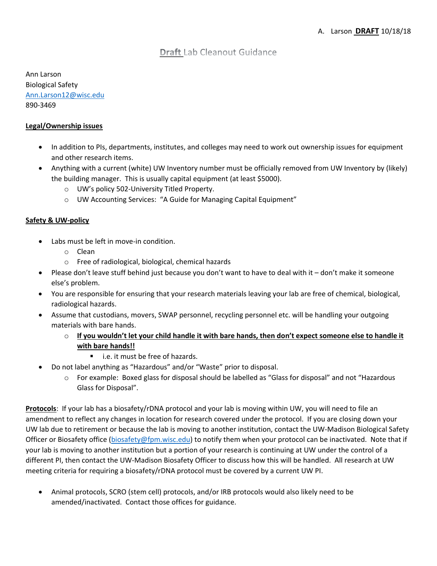# **Draft** Lab Cleanout Guidance

Ann Larson Biological Safety Ann.Larson12@wisc.edu 890‐3469

## **Legal/Ownership issues**

- In addition to PIs, departments, institutes, and colleges may need to work out ownership issues for equipment and other research items.
- Anything with a current (white) UW Inventory number must be officially removed from UW Inventory by (likely) the building manager. This is usually capital equipment (at least \$5000).
	- o UW's policy 502‐University Titled Property.
	- o UW Accounting Services: "A Guide for Managing Capital Equipment"

# **Safety & UW‐policy**

- Labs must be left in move-in condition.
	- o Clean
	- o Free of radiological, biological, chemical hazards
- Please don't leave stuff behind just because you don't want to have to deal with it don't make it someone else's problem.
- You are responsible for ensuring that your research materials leaving your lab are free of chemical, biological, radiological hazards.
- Assume that custodians, movers, SWAP personnel, recycling personnel etc. will be handling your outgoing materials with bare hands.
	- $\circ$  If you wouldn't let your child handle it with bare hands, then don't expect someone else to handle it **with bare hands!!**
		- i.e. it must be free of hazards.
- Do not label anything as "Hazardous" and/or "Waste" prior to disposal.
	- o For example: Boxed glass for disposal should be labelled as "Glass for disposal" and not "Hazardous Glass for Disposal".

**Protocols**: If your lab has a biosafety/rDNA protocol and your lab is moving within UW, you will need to file an amendment to reflect any changes in location for research covered under the protocol. If you are closing down your UW lab due to retirement or because the lab is moving to another institution, contact the UW‐Madison Biological Safety Officer or Biosafety office (biosafety@fpm.wisc.edu) to notify them when your protocol can be inactivated. Note that if your lab is moving to another institution but a portion of your research is continuing at UW under the control of a different PI, then contact the UW‐Madison Biosafety Officer to discuss how this will be handled. All research at UW meeting criteria for requiring a biosafety/rDNA protocol must be covered by a current UW PI.

 Animal protocols, SCRO (stem cell) protocols, and/or IRB protocols would also likely need to be amended/inactivated. Contact those offices for guidance.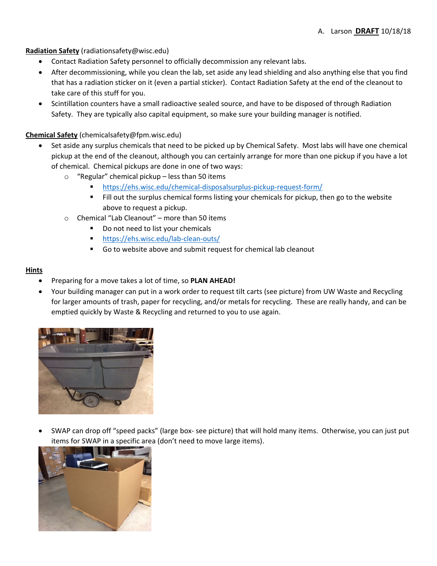## **Radiation Safety** (radiationsafety@wisc.edu)

- Contact Radiation Safety personnel to officially decommission any relevant labs.
- After decommissioning, while you clean the lab, set aside any lead shielding and also anything else that you find that has a radiation sticker on it (even a partial sticker). Contact Radiation Safety at the end of the cleanout to take care of this stuff for you.
- Scintillation counters have a small radioactive sealed source, and have to be disposed of through Radiation Safety. They are typically also capital equipment, so make sure your building manager is notified.

## **Chemical Safety** (chemicalsafety@fpm.wisc.edu)

- Set aside any surplus chemicals that need to be picked up by Chemical Safety. Most labs will have one chemical pickup at the end of the cleanout, although you can certainly arrange for more than one pickup if you have a lot of chemical. Chemical pickups are done in one of two ways:
	- o "Regular" chemical pickup less than 50 items
		- https://ehs.wisc.edu/chemical‐disposalsurplus‐pickup‐request‐form/
		- **Fill out the surplus chemical forms listing your chemicals for pickup, then go to the website** above to request a pickup.
	- o Chemical "Lab Cleanout" more than 50 items
		- Do not need to list your chemicals
		- https://ehs.wisc.edu/lab-clean-outs/
		- Go to website above and submit request for chemical lab cleanout

#### **Hints**

- Preparing for a move takes a lot of time, so **PLAN AHEAD!**
- Your building manager can put in a work order to request tilt carts (see picture) from UW Waste and Recycling for larger amounts of trash, paper for recycling, and/or metals for recycling. These are really handy, and can be emptied quickly by Waste & Recycling and returned to you to use again.



 SWAP can drop off "speed packs" (large box‐ see picture) that will hold many items. Otherwise, you can just put items for SWAP in a specific area (don't need to move large items).

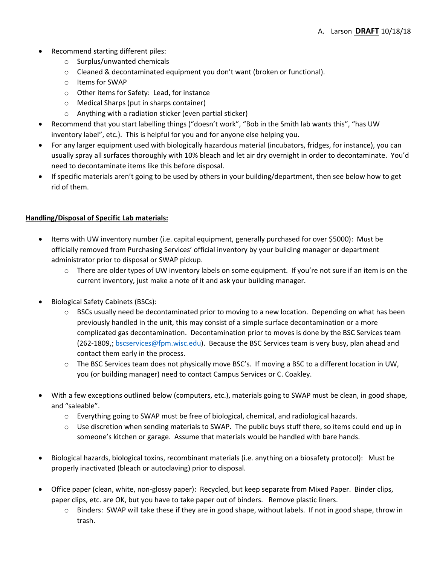- Recommend starting different piles:
	- o Surplus/unwanted chemicals
	- o Cleaned & decontaminated equipment you don't want (broken or functional).
	- o Items for SWAP
	- o Other items for Safety: Lead, for instance
	- o Medical Sharps (put in sharps container)
	- o Anything with a radiation sticker (even partial sticker)
- Recommend that you start labelling things ("doesn't work", "Bob in the Smith lab wants this", "has UW inventory label", etc.). This is helpful for you and for anyone else helping you.
- For any larger equipment used with biologically hazardous material (incubators, fridges, for instance), you can usually spray all surfaces thoroughly with 10% bleach and let air dry overnight in order to decontaminate. You'd need to decontaminate items like this before disposal.
- If specific materials aren't going to be used by others in your building/department, then see below how to get rid of them.

#### **Handling/Disposal of Specific Lab materials:**

- Items with UW inventory number (i.e. capital equipment, generally purchased for over \$5000): Must be officially removed from Purchasing Services' official inventory by your building manager or department administrator prior to disposal or SWAP pickup.
	- $\circ$  There are older types of UW inventory labels on some equipment. If you're not sure if an item is on the current inventory, just make a note of it and ask your building manager.
- Biological Safety Cabinets (BSCs):
	- $\circ$  BSCs usually need be decontaminated prior to moving to a new location. Depending on what has been previously handled in the unit, this may consist of a simple surface decontamination or a more complicated gas decontamination. Decontamination prior to moves is done by the BSC Services team (262-1809,; bscservices@fpm.wisc.edu). Because the BSC Services team is very busy, plan ahead and contact them early in the process.
	- $\circ$  The BSC Services team does not physically move BSC's. If moving a BSC to a different location in UW, you (or building manager) need to contact Campus Services or C. Coakley.
- With a few exceptions outlined below (computers, etc.), materials going to SWAP must be clean, in good shape, and "saleable".
	- o Everything going to SWAP must be free of biological, chemical, and radiological hazards.
	- $\circ$  Use discretion when sending materials to SWAP. The public buys stuff there, so items could end up in someone's kitchen or garage. Assume that materials would be handled with bare hands.
- Biological hazards, biological toxins, recombinant materials (i.e. anything on a biosafety protocol): Must be properly inactivated (bleach or autoclaving) prior to disposal.
- Office paper (clean, white, non‐glossy paper): Recycled, but keep separate from Mixed Paper. Binder clips, paper clips, etc. are OK, but you have to take paper out of binders. Remove plastic liners.
	- o Binders: SWAP will take these if they are in good shape, without labels. If not in good shape, throw in trash.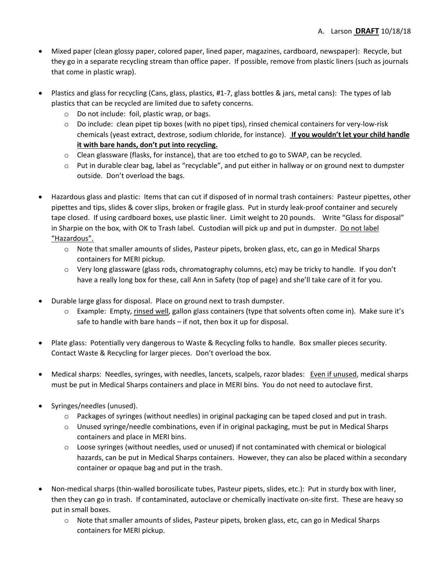- Mixed paper (clean glossy paper, colored paper, lined paper, magazines, cardboard, newspaper): Recycle, but they go in a separate recycling stream than office paper. If possible, remove from plastic liners (such as journals that come in plastic wrap).
- Plastics and glass for recycling (Cans, glass, plastics, #1‐7, glass bottles & jars, metal cans): The types of lab plastics that can be recycled are limited due to safety concerns.
	- o Do not include: foil, plastic wrap, or bags.
	- o Do include: clean pipet tip boxes (with no pipet tips), rinsed chemical containers for very‐low‐risk chemicals (yeast extract, dextrose, sodium chloride, for instance). **If you wouldn't let your child handle it with bare hands, don't put into recycling.**
	- $\circ$  Clean glassware (flasks, for instance), that are too etched to go to SWAP, can be recycled.
	- $\circ$  Put in durable clear bag, label as "recyclable", and put either in hallway or on ground next to dumpster outside. Don't overload the bags.
- Hazardous glass and plastic: Items that can cut if disposed of in normal trash containers: Pasteur pipettes, other pipettes and tips, slides & cover slips, broken or fragile glass. Put in sturdy leak‐proof container and securely tape closed. If using cardboard boxes, use plastic liner. Limit weight to 20 pounds. Write "Glass for disposal" in Sharpie on the box, with OK to Trash label. Custodian will pick up and put in dumpster. Do not label "Hazardous".
	- $\circ$  Note that smaller amounts of slides, Pasteur pipets, broken glass, etc, can go in Medical Sharps containers for MERI pickup.
	- $\circ$  Very long glassware (glass rods, chromatography columns, etc) may be tricky to handle. If you don't have a really long box for these, call Ann in Safety (top of page) and she'll take care of it for you.
- Durable large glass for disposal. Place on ground next to trash dumpster.
	- o Example: Empty, rinsed well, gallon glass containers (type that solvents often come in). Make sure it's safe to handle with bare hands – if not, then box it up for disposal.
- Plate glass: Potentially very dangerous to Waste & Recycling folks to handle. Box smaller pieces security. Contact Waste & Recycling for larger pieces. Don't overload the box.
- Medical sharps: Needles, syringes, with needles, lancets, scalpels, razor blades: Even if unused, medical sharps must be put in Medical Sharps containers and place in MERI bins. You do not need to autoclave first.
- Syringes/needles (unused).
	- o Packages of syringes (without needles) in original packaging can be taped closed and put in trash.
	- $\circ$  Unused syringe/needle combinations, even if in original packaging, must be put in Medical Sharps containers and place in MERI bins.
	- o Loose syringes (without needles, used or unused) if not contaminated with chemical or biological hazards, can be put in Medical Sharps containers. However, they can also be placed within a secondary container or opaque bag and put in the trash.
- Non-medical sharps (thin-walled borosilicate tubes, Pasteur pipets, slides, etc.): Put in sturdy box with liner, then they can go in trash. If contaminated, autoclave or chemically inactivate on‐site first. These are heavy so put in small boxes.
	- o Note that smaller amounts of slides, Pasteur pipets, broken glass, etc, can go in Medical Sharps containers for MERI pickup.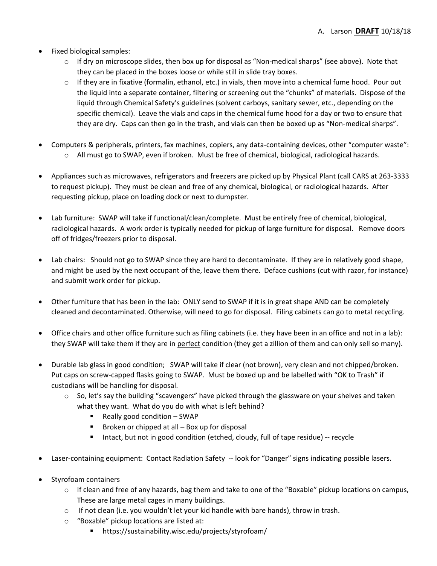- Fixed biological samples:
	- $\circ$  If dry on microscope slides, then box up for disposal as "Non-medical sharps" (see above). Note that they can be placed in the boxes loose or while still in slide tray boxes.
	- $\circ$  If they are in fixative (formalin, ethanol, etc.) in vials, then move into a chemical fume hood. Pour out the liquid into a separate container, filtering or screening out the "chunks" of materials. Dispose of the liquid through Chemical Safety's guidelines (solvent carboys, sanitary sewer, etc., depending on the specific chemical). Leave the vials and caps in the chemical fume hood for a day or two to ensure that they are dry. Caps can then go in the trash, and vials can then be boxed up as "Non‐medical sharps".
- Computers & peripherals, printers, fax machines, copiers, any data‐containing devices, other "computer waste": o All must go to SWAP, even if broken. Must be free of chemical, biological, radiological hazards.
- Appliances such as microwaves, refrigerators and freezers are picked up by Physical Plant (call CARS at 263‐3333 to request pickup). They must be clean and free of any chemical, biological, or radiological hazards. After requesting pickup, place on loading dock or next to dumpster.
- Lab furniture: SWAP will take if functional/clean/complete. Must be entirely free of chemical, biological, radiological hazards. A work order is typically needed for pickup of large furniture for disposal. Remove doors off of fridges/freezers prior to disposal.
- Lab chairs: Should not go to SWAP since they are hard to decontaminate. If they are in relatively good shape, and might be used by the next occupant of the, leave them there. Deface cushions (cut with razor, for instance) and submit work order for pickup.
- Other furniture that has been in the lab: ONLY send to SWAP if it is in great shape AND can be completely cleaned and decontaminated. Otherwise, will need to go for disposal. Filing cabinets can go to metal recycling.
- Office chairs and other office furniture such as filing cabinets (i.e. they have been in an office and not in a lab): they SWAP will take them if they are in perfect condition (they get a zillion of them and can only sell so many).
- Durable lab glass in good condition; SWAP will take if clear (not brown), very clean and not chipped/broken. Put caps on screw‐capped flasks going to SWAP. Must be boxed up and be labelled with "OK to Trash" if custodians will be handling for disposal.
	- $\circ$  So, let's say the building "scavengers" have picked through the glassware on your shelves and taken what they want. What do you do with what is left behind?
		- Really good condition SWAP
		- $\blacksquare$  Broken or chipped at all  $-$  Box up for disposal
		- Intact, but not in good condition (etched, cloudy, full of tape residue) -- recycle
- Laser-containing equipment: Contact Radiation Safety -- look for "Danger" signs indicating possible lasers.
- Styrofoam containers
	- $\circ$  If clean and free of any hazards, bag them and take to one of the "Boxable" pickup locations on campus, These are large metal cages in many buildings.
	- $\circ$  If not clean (i.e. you wouldn't let your kid handle with bare hands), throw in trash.
	- o "Boxable" pickup locations are listed at:
		- https://sustainability.wisc.edu/projects/styrofoam/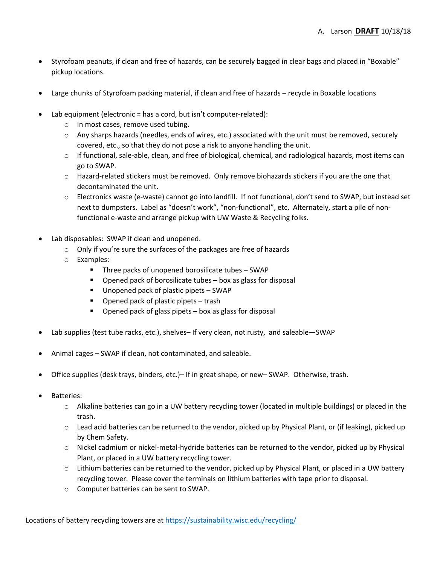- Styrofoam peanuts, if clean and free of hazards, can be securely bagged in clear bags and placed in "Boxable" pickup locations.
- Large chunks of Styrofoam packing material, if clean and free of hazards recycle in Boxable locations
- Lab equipment (electronic = has a cord, but isn't computer-related):
	- o In most cases, remove used tubing.
	- $\circ$  Any sharps hazards (needles, ends of wires, etc.) associated with the unit must be removed, securely covered, etc., so that they do not pose a risk to anyone handling the unit.
	- o If functional, sale‐able, clean, and free of biological, chemical, and radiological hazards, most items can go to SWAP.
	- o Hazard‐related stickers must be removed. Only remove biohazards stickers if you are the one that decontaminated the unit.
	- o Electronics waste (e‐waste) cannot go into landfill. If not functional, don't send to SWAP, but instead set next to dumpsters. Label as "doesn't work", "non-functional", etc. Alternately, start a pile of nonfunctional e-waste and arrange pickup with UW Waste & Recycling folks.
- Lab disposables: SWAP if clean and unopened.
	- o Only if you're sure the surfaces of the packages are free of hazards
	- o Examples:
		- Three packs of unopened borosilicate tubes SWAP
		- Opened pack of borosilicate tubes box as glass for disposal
		- Unopened pack of plastic pipets SWAP
		- Opened pack of plastic pipets trash
		- $\blacksquare$  Opened pack of glass pipets  $-$  box as glass for disposal
- Lab supplies (test tube racks, etc.), shelves– If very clean, not rusty, and saleable—SWAP
- Animal cages SWAP if clean, not contaminated, and saleable.
- Office supplies (desk trays, binders, etc.)– If in great shape, or new– SWAP. Otherwise, trash.
- Batteries:
	- o Alkaline batteries can go in a UW battery recycling tower (located in multiple buildings) or placed in the trash.
	- $\circ$  Lead acid batteries can be returned to the vendor, picked up by Physical Plant, or (if leaking), picked up by Chem Safety.
	- o Nickel cadmium or nickel‐metal‐hydride batteries can be returned to the vendor, picked up by Physical Plant, or placed in a UW battery recycling tower.
	- o Lithium batteries can be returned to the vendor, picked up by Physical Plant, or placed in a UW battery recycling tower. Please cover the terminals on lithium batteries with tape prior to disposal.
	- o Computer batteries can be sent to SWAP.

Locations of battery recycling towers are at https://sustainability.wisc.edu/recycling/